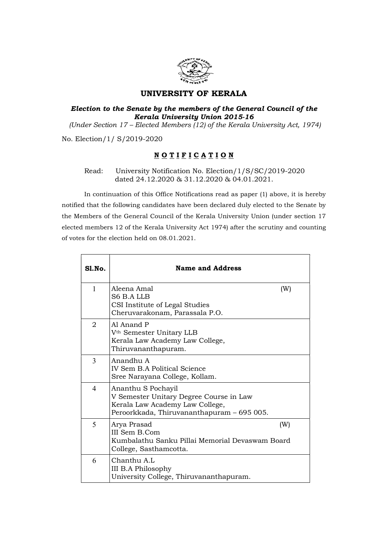

## UNIVERSITY OF KERALA

## Election to the Senate by the members of the General Council of the Kerala University Union 2015-16

(Under Section 17 – Elected Members (12) of the Kerala University Act, 1974)

No. Election/1/ S/2019-2020

## NOTIFICATION

Read: University Notification No. Election/1/S/SC/2019-2020 dated 24.12.2020 & 31.12.2020 & 04.01.2021.

In continuation of this Office Notifications read as paper (1) above, it is hereby notified that the following candidates have been declared duly elected to the Senate by the Members of the General Council of the Kerala University Union (under section 17 elected members 12 of the Kerala University Act 1974) after the scrutiny and counting of votes for the election held on 08.01.2021.

| SI.No. | <b>Name and Address</b>                                                                                                                        |  |
|--------|------------------------------------------------------------------------------------------------------------------------------------------------|--|
| 1      | Aleena Amal<br>(W)<br>S6 B.A LLB<br>CSI Institute of Legal Studies<br>Cheruvarakonam, Parassala P.O.                                           |  |
| 2      | Al Anand P<br>V <sup>th</sup> Semester Unitary LLB<br>Kerala Law Academy Law College,<br>Thiruvananthapuram.                                   |  |
| 3      | Anandhu A<br>IV Sem B.A Political Science<br>Sree Narayana College, Kollam.                                                                    |  |
| 4      | Ananthu S Pochayil<br>V Semester Unitary Degree Course in Law<br>Kerala Law Academy Law College,<br>Peroorkkada, Thiruvananthapuram - 695 005. |  |
| 5      | Arya Prasad<br>(W)<br>III Sem B.Com<br>Kumbalathu Sanku Pillai Memorial Devaswam Board<br>College, Sasthamcotta.                               |  |
| 6      | Chanthu A.L<br>III B.A Philosophy<br>University College, Thiruvananthapuram.                                                                   |  |